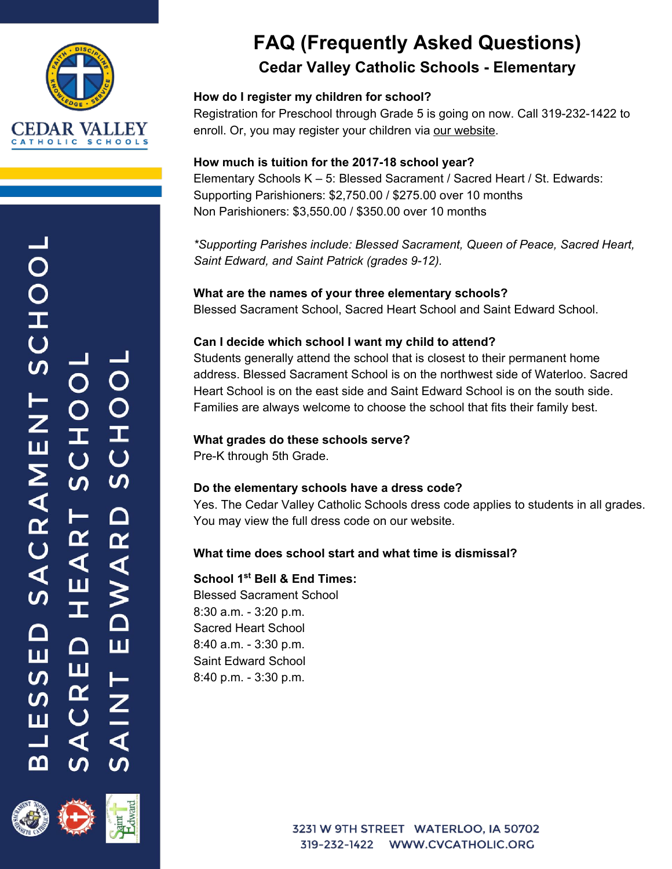

# **SCHOOI**  $\mathsf C$ Ċ SACRAMEN I  $\overline{C}$  $\overline{S}$  $\mathsf{\Omega}$  $\overline{\mathbf{r}}$  $\blacktriangleleft$ У<br>О ∩ ш ш ш <u>ທ</u> Œ <u>ທ</u> Ш ◁ മ്പ



## **FAQ (Frequently Asked Questions) Cedar Valley Catholic Schools - Elementary**

## **How do I register my children for school?**

Registration for Preschool through Grade 5 is going on now. Call 319-232-1422 to enroll. Or, you may register your children via [our website](http://www.cvcatholicschools.org/blessed-sacrament-school/family-information/registration).

### **How much is tuition for the 2017-18 school year?**

Elementary Schools K – 5: Blessed Sacrament / Sacred Heart / St. Edwards: Supporting Parishioners: \$2,750.00 / \$275.00 over 10 months Non Parishioners: \$3,550.00 / \$350.00 over 10 months

*\*Supporting Parishes include: Blessed Sacrament, Queen of Peace, Sacred Heart, Saint Edward, and Saint Patrick (grades 9-12).*

**What are the names of your three elementary schools?** Blessed Sacrament School, Sacred Heart School and Saint Edward School.

### **Can I decide which school I want my child to attend?**

Students generally attend the school that is closest to their permanent home address. Blessed Sacrament School is on the northwest side of Waterloo. Sacred Heart School is on the east side and Saint Edward School is on the south side. Families are always welcome to choose the school that fits their family best.

#### **What grades do these schools serve?**

Pre-K through 5th Grade.

#### **Do the elementary schools have a dress code?**

Yes. The Cedar Valley Catholic Schools dress code applies to students in all grades. You may view the full dress code on our website.

## **What time does school start and what time is dismissal?**

## **School 1st Bell & End Times:**

Blessed Sacrament School 8:30 a.m. - 3:20 p.m. Sacred Heart School 8:40 a.m. - 3:30 p.m. Saint Edward School 8:40 p.m. - 3:30 p.m.